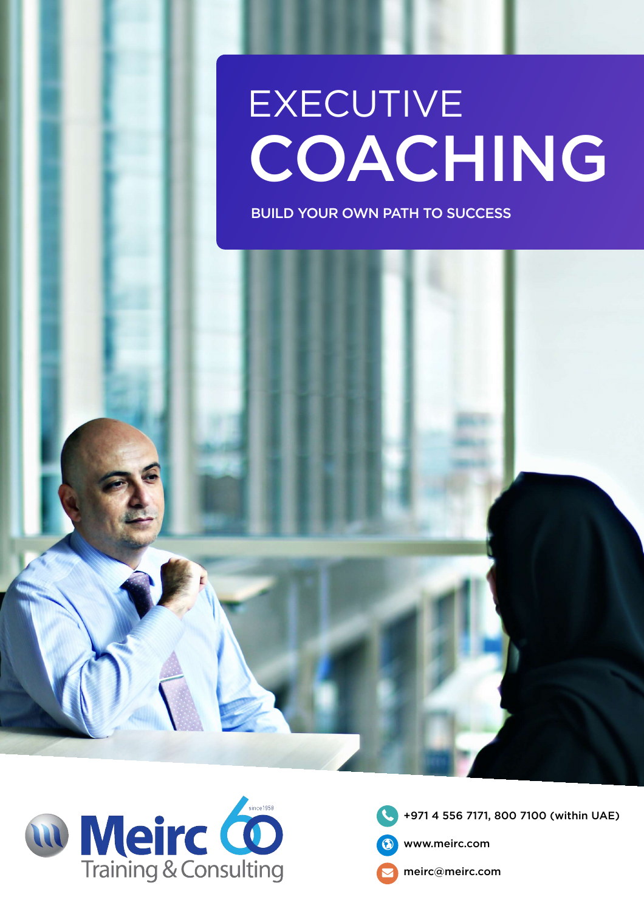# EXECUTIVE COACHING

BUILD YOUR OWN PATH TO SUCCESS





**10** +971 4 556 7171, 800 7100 (within UAE)



 $\bigcirc$ 

 $\blacktriangledown$ 

www.meirc.com

meirc@meirc.com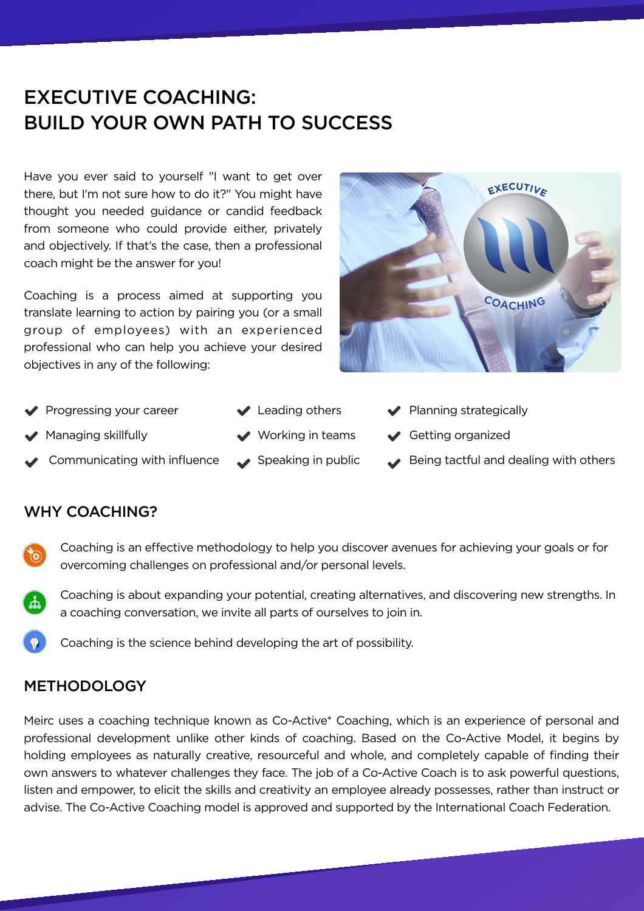## EXECUTIVE COACHING: BUILD YOUR OWN PATH TO SUCCESS

Have you ever said to yourself "I want to get over there, but I'm not sure how to do it?" You might have thought you needed guidance or candid feedback from someone who could provide either, privately and objectively. If that's the case, then a professional coach might be the answer for you!

Coaching is a process aimed at supporting you translate learning to action by pairing you (or a small group of employees) with an experienced professional who can help you achieve your desired objectives in any of the following:



- 
- 
- 
- 
- 
- 
- Progressing your career  $\blacktriangledown$  Leading others  $\blacktriangledown$  Planning strategically
- ◆ Managing skillfully  $\rightarrow$  Working in teams  $\rightarrow$  Getting organized
	- Communicating with influence  $\longrightarrow$  Speaking in public  $\longrightarrow$  Being tactful and dealing with others

#### WHY COACHING?



Coaching is an effective methodology to help you discover avenues for achieving your goals or for overcoming challenges on professional and/or personal levels.



Coaching is about expanding your potential, creating alternatives, and discovering new strengths. In a coaching conversation, we invite all parts of ourselves to join in.



Coaching is the science behind developing the art of possibility.

Meirc uses a coaching technique known as Co-Active\* Coaching, which is an experience of personal and professional development unlike other kinds of coaching. Based on the Co-Active Model, it begins by holding employees as naturally creative, resourceful and whole, and completely capable of finding their own answers to whatever challenges they face. The job of a Co-Active Coach is to ask powerful questions, listen and empower, to elicit the skills and creativity an employee already possesses, rather than instruct or advise. The Co-Active Coaching model is approved and supported by the International Coach Federation.

#### METHODOLOGY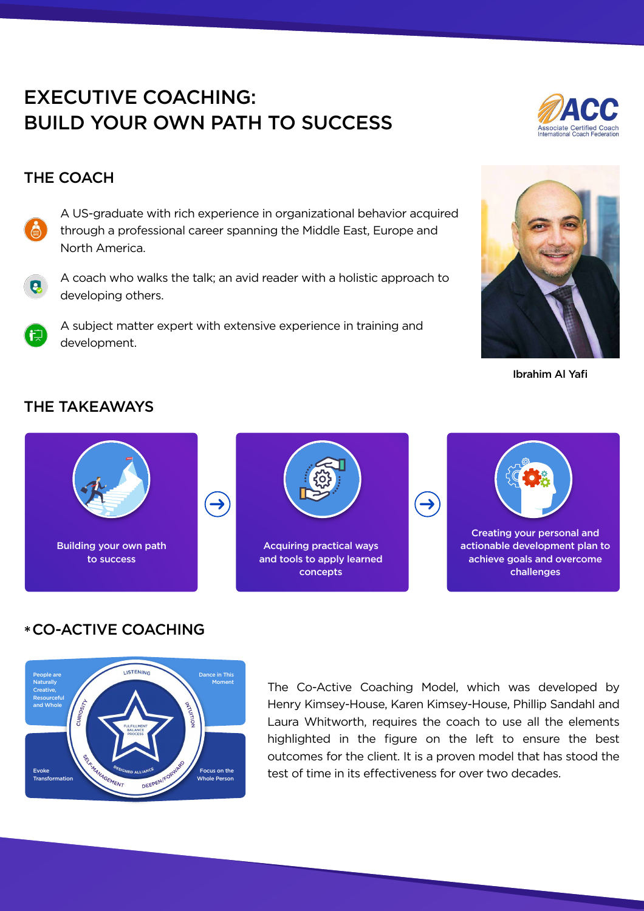Ibrahim Al Yafi

# EXECUTIVE COACHING: BUILD YOUR OWN PATH TO SUCCESS



#### THE COACH

- A US-graduate with rich experience in organizational behavior acquired through a professional career spanning the Middle East, Europe and North America.
- $\mathbf{Q}$
- A coach who walks the talk; an avid reader with a holistic approach to developing others.



A subject matter expert with extensive experience in training and development.



The Co-Active Coaching Model, which was developed by Henry Kimsey-House, Karen Kimsey-House, Phillip Sandahl and Laura Whitworth, requires the coach to use all the elements highlighted in the figure on the left to ensure the best outcomes for the client. It is a proven model that has stood the test of time in its effectiveness for over two decades.



### THE TAKEAWAYS







## \* CO-ACTIVE COACHING